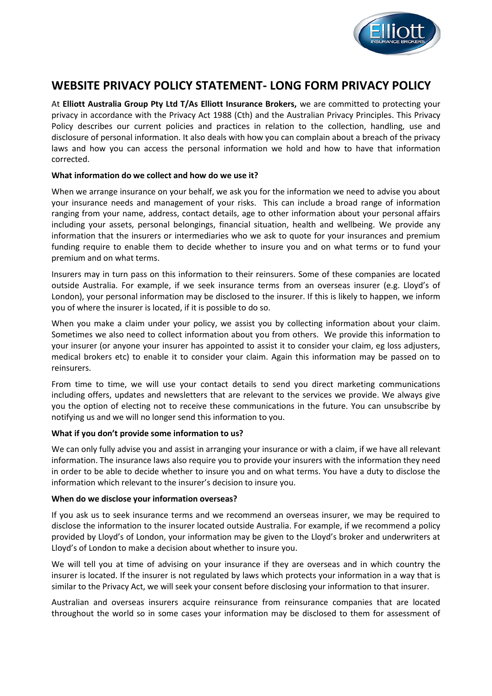

# **WEBSITE PRIVACY POLICY STATEMENT- LONG FORM PRIVACY POLICY**

At **Elliott Australia Group Pty Ltd T/As Elliott Insurance Brokers,** we are committed to protecting your privacy in accordance with the Privacy Act 1988 (Cth) and the Australian Privacy Principles. This Privacy Policy describes our current policies and practices in relation to the collection, handling, use and disclosure of personal information. It also deals with how you can complain about a breach of the privacy laws and how you can access the personal information we hold and how to have that information corrected.

# **What information do we collect and how do we use it?**

When we arrange insurance on your behalf, we ask you for the information we need to advise you about your insurance needs and management of your risks. This can include a broad range of information ranging from your name, address, contact details, age to other information about your personal affairs including your assets, personal belongings, financial situation, health and wellbeing. We provide any information that the insurers or intermediaries who we ask to quote for your insurances and premium funding require to enable them to decide whether to insure you and on what terms or to fund your premium and on what terms.

Insurers may in turn pass on this information to their reinsurers. Some of these companies are located outside Australia. For example, if we seek insurance terms from an overseas insurer (e.g. Lloyd's of London), your personal information may be disclosed to the insurer. If this is likely to happen, we inform you of where the insurer is located, if it is possible to do so.

When you make a claim under your policy, we assist you by collecting information about your claim. Sometimes we also need to collect information about you from others. We provide this information to your insurer (or anyone your insurer has appointed to assist it to consider your claim, eg loss adjusters, medical brokers etc) to enable it to consider your claim. Again this information may be passed on to reinsurers.

From time to time, we will use your contact details to send you direct marketing communications including offers, updates and newsletters that are relevant to the services we provide. We always give you the option of electing not to receive these communications in the future. You can unsubscribe by notifying us and we will no longer send this information to you.

# **What if you don't provide some information to us?**

We can only fully advise you and assist in arranging your insurance or with a claim, if we have all relevant information. The insurance laws also require you to provide your insurers with the information they need in order to be able to decide whether to insure you and on what terms. You have a duty to disclose the information which relevant to the insurer's decision to insure you.

#### **When do we disclose your information overseas?**

If you ask us to seek insurance terms and we recommend an overseas insurer, we may be required to disclose the information to the insurer located outside Australia. For example, if we recommend a policy provided by Lloyd's of London, your information may be given to the Lloyd's broker and underwriters at Lloyd's of London to make a decision about whether to insure you.

We will tell you at time of advising on your insurance if they are overseas and in which country the insurer is located. If the insurer is not regulated by laws which protects your information in a way that is similar to the Privacy Act, we will seek your consent before disclosing your information to that insurer.

Australian and overseas insurers acquire reinsurance from reinsurance companies that are located throughout the world so in some cases your information may be disclosed to them for assessment of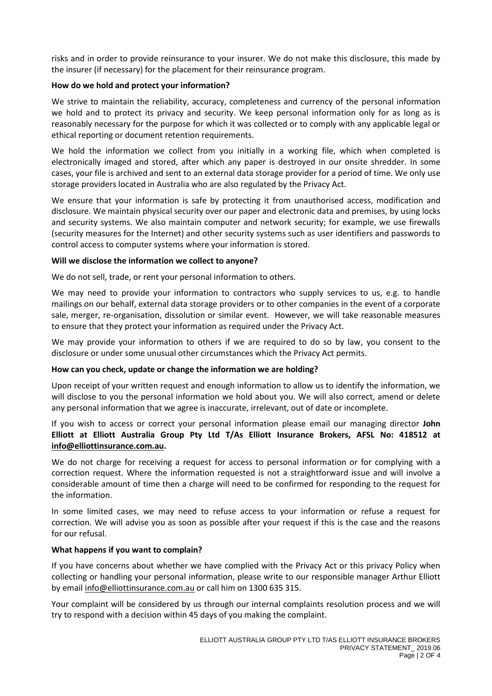risks and in order to provide reinsurance to your insurer. We do not make this disclosure, this made by the insurer (if necessary) for the placement for their reinsurance program.

### **How do we hold and protect your information?**

We strive to maintain the reliability, accuracy, completeness and currency of the personal information we hold and to protect its privacy and security. We keep personal information only for as long as is reasonably necessary for the purpose for which it was collected or to comply with any applicable legal or ethical reporting or document retention requirements.

We hold the information we collect from you initially in a working file, which when completed is electronically imaged and stored, after which any paper is destroyed in our onsite shredder. In some cases, your file is archived and sent to an external data storage provider for a period of time. We only use storage providers located in Australia who are also regulated by the Privacy Act.

We ensure that your information is safe by protecting it from unauthorised access, modification and disclosure. We maintain physical security over our paper and electronic data and premises, by using locks and security systems. We also maintain computer and network security; for example, we use firewalls (security measures for the Internet) and other security systems such as user identifiers and passwords to control access to computer systems where your information is stored.

# **Will we disclose the information we collect to anyone?**

We do not sell, trade, or rent your personal information to others.

We may need to provide your information to contractors who supply services to us, e.g. to handle mailings on our behalf, external data storage providers or to other companies in the event of a corporate sale, merger, re-organisation, dissolution or similar event. However, we will take reasonable measures to ensure that they protect your information as required under the Privacy Act.

We may provide your information to others if we are required to do so by law, you consent to the disclosure or under some unusual other circumstances which the Privacy Act permits.

#### **How can you check, update or change the information we are holding?**

Upon receipt of your written request and enough information to allow us to identify the information, we will disclose to you the personal information we hold about you. We will also correct, amend or delete any personal information that we agree is inaccurate, irrelevant, out of date or incomplete.

If you wish to access or correct your personal information please email our managing director **John Elliott at Elliott Australia Group Pty Ltd T/As Elliott Insurance Brokers, AFSL No: 418512 at [info@elliottinsurance.com.au.](mailto:info@elliottinsurance.com.au)**

We do not charge for receiving a request for access to personal information or for complying with a correction request. Where the information requested is not a straightforward issue and will involve a considerable amount of time then a charge will need to be confirmed for responding to the request for the information.

In some limited cases, we may need to refuse access to your information or refuse a request for correction. We will advise you as soon as possible after your request if this is the case and the reasons for our refusal.

#### **What happens if you want to complain?**

If you have concerns about whether we have complied with the Privacy Act or this privacy Policy when collecting or handling your personal information, please write to our responsible manager Arthur Elliott by emai[l info@elliottinsurance.com.au](mailto:info@elliottinsurance.com.au) or call him on 1300 635 315.

Your complaint will be considered by us through our internal complaints resolution process and we will try to respond with a decision within 45 days of you making the complaint.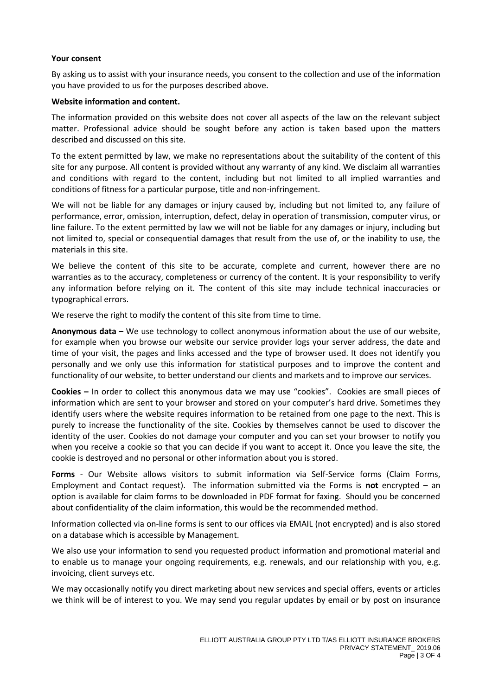#### **Your consent**

By asking us to assist with your insurance needs, you consent to the collection and use of the information you have provided to us for the purposes described above.

#### **Website information and content.**

The information provided on this website does not cover all aspects of the law on the relevant subject matter. Professional advice should be sought before any action is taken based upon the matters described and discussed on this site.

To the extent permitted by law, we make no representations about the suitability of the content of this site for any purpose. All content is provided without any warranty of any kind. We disclaim all warranties and conditions with regard to the content, including but not limited to all implied warranties and conditions of fitness for a particular purpose, title and non-infringement.

We will not be liable for any damages or injury caused by, including but not limited to, any failure of performance, error, omission, interruption, defect, delay in operation of transmission, computer virus, or line failure. To the extent permitted by law we will not be liable for any damages or injury, including but not limited to, special or consequential damages that result from the use of, or the inability to use, the materials in this site.

We believe the content of this site to be accurate, complete and current, however there are no warranties as to the accuracy, completeness or currency of the content. It is your responsibility to verify any information before relying on it. The content of this site may include technical inaccuracies or typographical errors.

We reserve the right to modify the content of this site from time to time.

**Anonymous data –** We use technology to collect anonymous information about the use of our website, for example when you browse our website our service provider logs your server address, the date and time of your visit, the pages and links accessed and the type of browser used. It does not identify you personally and we only use this information for statistical purposes and to improve the content and functionality of our website, to better understand our clients and markets and to improve our services.

**Cookies –** In order to collect this anonymous data we may use "cookies". Cookies are small pieces of information which are sent to your browser and stored on your computer's hard drive. Sometimes they identify users where the website requires information to be retained from one page to the next. This is purely to increase the functionality of the site. Cookies by themselves cannot be used to discover the identity of the user. Cookies do not damage your computer and you can set your browser to notify you when you receive a cookie so that you can decide if you want to accept it. Once you leave the site, the cookie is destroyed and no personal or other information about you is stored.

**Forms** - Our Website allows visitors to submit information via Self-Service forms (Claim Forms, Employment and Contact request). The information submitted via the Forms is **not** encrypted – an option is available for claim forms to be downloaded in PDF format for faxing. Should you be concerned about confidentiality of the claim information, this would be the recommended method.

Information collected via on-line forms is sent to our offices via EMAIL (not encrypted) and is also stored on a database which is accessible by Management.

We also use your information to send you requested product information and promotional material and to enable us to manage your ongoing requirements, e.g. renewals, and our relationship with you, e.g. invoicing, client surveys etc.

We may occasionally notify you direct marketing about new services and special offers, events or articles we think will be of interest to you. We may send you regular updates by email or by post on insurance